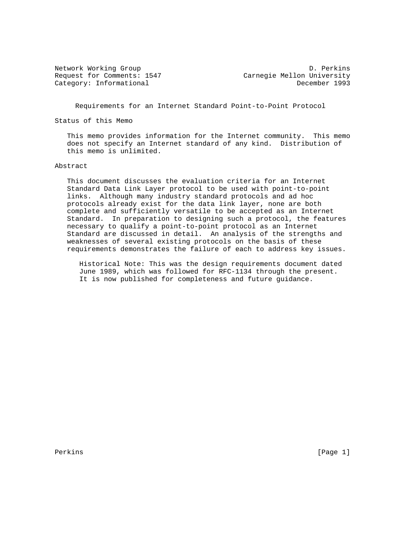Network Working Group D. Perkins Request for Comments: 1547 Carnegie Mellon University Category: Informational December 1993

Requirements for an Internet Standard Point-to-Point Protocol

Status of this Memo

 This memo provides information for the Internet community. This memo does not specify an Internet standard of any kind. Distribution of this memo is unlimited.

### Abstract

 This document discusses the evaluation criteria for an Internet Standard Data Link Layer protocol to be used with point-to-point links. Although many industry standard protocols and ad hoc protocols already exist for the data link layer, none are both complete and sufficiently versatile to be accepted as an Internet Standard. In preparation to designing such a protocol, the features necessary to qualify a point-to-point protocol as an Internet Standard are discussed in detail. An analysis of the strengths and weaknesses of several existing protocols on the basis of these requirements demonstrates the failure of each to address key issues.

 Historical Note: This was the design requirements document dated June 1989, which was followed for RFC-1134 through the present. It is now published for completeness and future guidance.

Perkins [Page 1] [Page 1] [Page 1] [Page 1] [Page 1] [Page 1]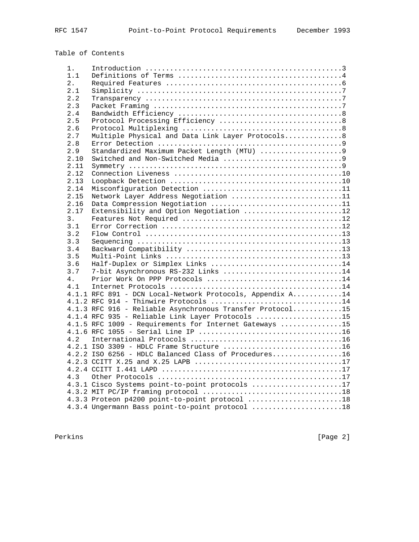# Table of Contents

| 1.             |                                                           |
|----------------|-----------------------------------------------------------|
| 1.1            |                                                           |
| 2.1            |                                                           |
| 2.1            |                                                           |
| 2.2            |                                                           |
| 2.3            |                                                           |
| 2.4            |                                                           |
| 2.5            |                                                           |
| 2.6            |                                                           |
| 2.7            | Multiple Physical and Data Link Layer Protocols8          |
| 2.8            |                                                           |
| 2.9            |                                                           |
| 2.10           |                                                           |
| 2.11           |                                                           |
| 2.12           |                                                           |
| 2.13           |                                                           |
| 2.14           | Misconfiguration Detection 11                             |
| 2.15           | Network Layer Address Negotiation 11                      |
| 2.16           | Data Compression Negotiation 11                           |
| 2.17           | Extensibility and Option Negotiation 12                   |
| 3.             |                                                           |
| 3.1            |                                                           |
| 3.2            |                                                           |
| 3.3            |                                                           |
| 3.4            |                                                           |
| 3.5            |                                                           |
| 3.6            | Half-Duplex or Simplex Links 14                           |
| 3.7            | 7-bit Asynchronous RS-232 Links 14                        |
| 4.             | Prior Work On PPP Protocols 14                            |
| 4.1            |                                                           |
|                | 4.1.1 RFC 891 - DCN Local-Network Protocols, Appendix A14 |
|                | 4.1.2 RFC 914 - Thinwire Protocols 14                     |
|                | 4.1.3 RFC 916 - Reliable Asynchronous Transfer Protocol15 |
|                | 4.1.4 RFC 935 - Reliable Link Layer Protocols 15          |
|                | 4.1.5 RFC 1009 - Requirements for Internet Gateways 15    |
|                |                                                           |
| 4 <sub>2</sub> |                                                           |
|                | $4.2.1$ ISO 3309 - HDLC Frame Structure 16                |
|                | 4.2.2 ISO 6256 - HDLC Balanced Class of Procedures16      |
|                |                                                           |
|                |                                                           |
| 4.3            |                                                           |
|                | 4.3.1 Cisco Systems point-to-point protocols 17           |
|                |                                                           |
|                | 4.3.3 Proteon p4200 point-to-point protocol 18            |
|                | 4.3.4 Ungermann Bass point-to-point protocol 18           |

Perkins [Page 2]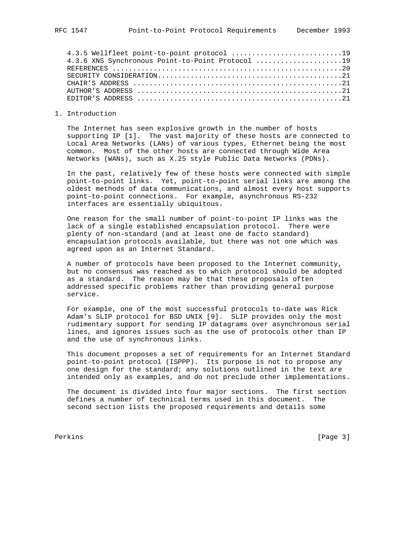# 1. Introduction

 The Internet has seen explosive growth in the number of hosts supporting IP [1]. The vast majority of these hosts are connected to Local Area Networks (LANs) of various types, Ethernet being the most common. Most of the other hosts are connected through Wide Area Networks (WANs), such as X.25 style Public Data Networks (PDNs).

 In the past, relatively few of these hosts were connected with simple point-to-point links. Yet, point-to-point serial links are among the oldest methods of data communications, and almost every host supports point-to-point connections. For example, asynchronous RS-232 interfaces are essentially ubiquitous.

 One reason for the small number of point-to-point IP links was the lack of a single established encapsulation protocol. There were plenty of non-standard (and at least one de facto standard) encapsulation protocols available, but there was not one which was agreed upon as an Internet Standard.

 A number of protocols have been proposed to the Internet community, but no consensus was reached as to which protocol should be adopted as a standard. The reason may be that these proposals often addressed specific problems rather than providing general purpose service.

 For example, one of the most successful protocols to-date was Rick Adam's SLIP protocol for BSD UNIX [9]. SLIP provides only the most rudimentary support for sending IP datagrams over asynchronous serial lines, and ignores issues such as the use of protocols other than IP and the use of synchronous links.

 This document proposes a set of requirements for an Internet Standard point-to-point protocol (ISPPP). Its purpose is not to propose any one design for the standard; any solutions outlined in the text are intended only as examples, and do not preclude other implementations.

 The document is divided into four major sections. The first section defines a number of technical terms used in this document. The second section lists the proposed requirements and details some

Perkins [Page 3] [Page 3] [Page 3] [Page 3] [Page 3] [Page 3] [Page 3] [Page 3] [Page 3] [Page 3] [Page 3] [Page 3] [Page 3] [Page 3] [Page 3] [Page 3] [Page 3] [Page 3] [Page 3] [Page 3] [Page 3] [Page 3] [Page 3] [Page 3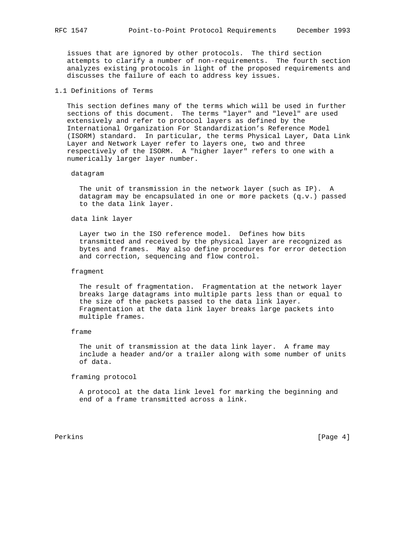issues that are ignored by other protocols. The third section attempts to clarify a number of non-requirements. The fourth section analyzes existing protocols in light of the proposed requirements and discusses the failure of each to address key issues.

# 1.1 Definitions of Terms

 This section defines many of the terms which will be used in further sections of this document. The terms "layer" and "level" are used extensively and refer to protocol layers as defined by the International Organization For Standardization's Reference Model (ISORM) standard. In particular, the terms Physical Layer, Data Link Layer and Network Layer refer to layers one, two and three respectively of the ISORM. A "higher layer" refers to one with a numerically larger layer number.

#### datagram

 The unit of transmission in the network layer (such as IP). A datagram may be encapsulated in one or more packets (q.v.) passed to the data link layer.

# data link layer

 Layer two in the ISO reference model. Defines how bits transmitted and received by the physical layer are recognized as bytes and frames. May also define procedures for error detection and correction, sequencing and flow control.

### fragment

 The result of fragmentation. Fragmentation at the network layer breaks large datagrams into multiple parts less than or equal to the size of the packets passed to the data link layer. Fragmentation at the data link layer breaks large packets into multiple frames.

### frame

 The unit of transmission at the data link layer. A frame may include a header and/or a trailer along with some number of units of data.

framing protocol

 A protocol at the data link level for marking the beginning and end of a frame transmitted across a link.

Perkins [Page 4]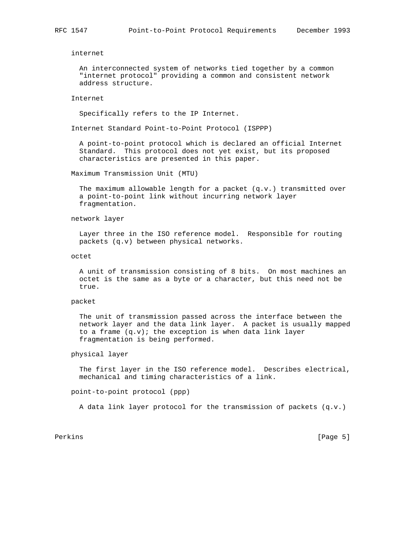internet

 An interconnected system of networks tied together by a common "internet protocol" providing a common and consistent network address structure.

#### Internet

Specifically refers to the IP Internet.

Internet Standard Point-to-Point Protocol (ISPPP)

 A point-to-point protocol which is declared an official Internet Standard. This protocol does not yet exist, but its proposed characteristics are presented in this paper.

Maximum Transmission Unit (MTU)

 The maximum allowable length for a packet (q.v.) transmitted over a point-to-point link without incurring network layer fragmentation.

# network layer

 Layer three in the ISO reference model. Responsible for routing packets (q.v) between physical networks.

octet

 A unit of transmission consisting of 8 bits. On most machines an octet is the same as a byte or a character, but this need not be true.

#### packet

 The unit of transmission passed across the interface between the network layer and the data link layer. A packet is usually mapped to a frame  $(q.v)$ ; the exception is when data link layer fragmentation is being performed.

physical layer

 The first layer in the ISO reference model. Describes electrical, mechanical and timing characteristics of a link.

point-to-point protocol (ppp)

A data link layer protocol for the transmission of packets (q.v.)

Perkins [Page 5]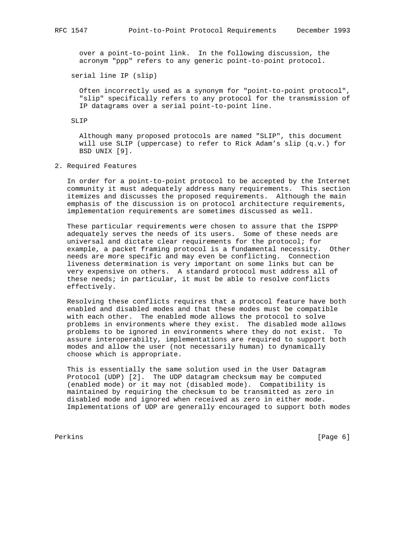over a point-to-point link. In the following discussion, the acronym "ppp" refers to any generic point-to-point protocol.

serial line IP (slip)

 Often incorrectly used as a synonym for "point-to-point protocol", "slip" specifically refers to any protocol for the transmission of IP datagrams over a serial point-to-point line.

# SLIP

 Although many proposed protocols are named "SLIP", this document will use SLIP (uppercase) to refer to Rick Adam's slip (q.v.) for BSD UNIX [9].

# 2. Required Features

 In order for a point-to-point protocol to be accepted by the Internet community it must adequately address many requirements. This section itemizes and discusses the proposed requirements. Although the main emphasis of the discussion is on protocol architecture requirements, implementation requirements are sometimes discussed as well.

 These particular requirements were chosen to assure that the ISPPP adequately serves the needs of its users. Some of these needs are universal and dictate clear requirements for the protocol; for example, a packet framing protocol is a fundamental necessity. Other needs are more specific and may even be conflicting. Connection liveness determination is very important on some links but can be very expensive on others. A standard protocol must address all of these needs; in particular, it must be able to resolve conflicts effectively.

 Resolving these conflicts requires that a protocol feature have both enabled and disabled modes and that these modes must be compatible with each other. The enabled mode allows the protocol to solve problems in environments where they exist. The disabled mode allows problems to be ignored in environments where they do not exist. To assure interoperabilty, implementations are required to support both modes and allow the user (not necessarily human) to dynamically choose which is appropriate.

 This is essentially the same solution used in the User Datagram Protocol (UDP) [2]. The UDP datagram checksum may be computed (enabled mode) or it may not (disabled mode). Compatibility is maintained by requiring the checksum to be transmitted as zero in disabled mode and ignored when received as zero in either mode. Implementations of UDP are generally encouraged to support both modes

Perkins [Page 6] [Page 6] [Page 6] [Page 6] [Page 6] [Page 6] [Page 6] [Page 6] [Page 6] [Page 6] [Page 6] [Page 6] [Page 6] [Page 6] [Page 6] [Page 6] [Page 6] [Page 6] [Page 6] [Page 6] [Page 6] [Page 6] [Page 6] [Page 6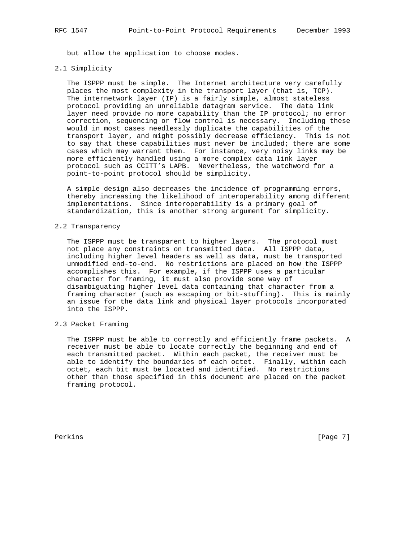but allow the application to choose modes.

### 2.1 Simplicity

 The ISPPP must be simple. The Internet architecture very carefully places the most complexity in the transport layer (that is, TCP). The internetwork layer (IP) is a fairly simple, almost stateless protocol providing an unreliable datagram service. The data link layer need provide no more capability than the IP protocol; no error correction, sequencing or flow control is necessary. Including these would in most cases needlessly duplicate the capabilities of the transport layer, and might possibly decrease efficiency. This is not to say that these capabilities must never be included; there are some cases which may warrant them. For instance, very noisy links may be more efficiently handled using a more complex data link layer protocol such as CCITT's LAPB. Nevertheless, the watchword for a point-to-point protocol should be simplicity.

 A simple design also decreases the incidence of programming errors, thereby increasing the likelihood of interoperability among different implementations. Since interoperability is a primary goal of standardization, this is another strong argument for simplicity.

# 2.2 Transparency

 The ISPPP must be transparent to higher layers. The protocol must not place any constraints on transmitted data. All ISPPP data, including higher level headers as well as data, must be transported unmodified end-to-end. No restrictions are placed on how the ISPPP accomplishes this. For example, if the ISPPP uses a particular character for framing, it must also provide some way of disambiguating higher level data containing that character from a framing character (such as escaping or bit-stuffing). This is mainly an issue for the data link and physical layer protocols incorporated into the ISPPP.

# 2.3 Packet Framing

 The ISPPP must be able to correctly and efficiently frame packets. A receiver must be able to locate correctly the beginning and end of each transmitted packet. Within each packet, the receiver must be able to identify the boundaries of each octet. Finally, within each octet, each bit must be located and identified. No restrictions other than those specified in this document are placed on the packet framing protocol.

Perkins [Page 7]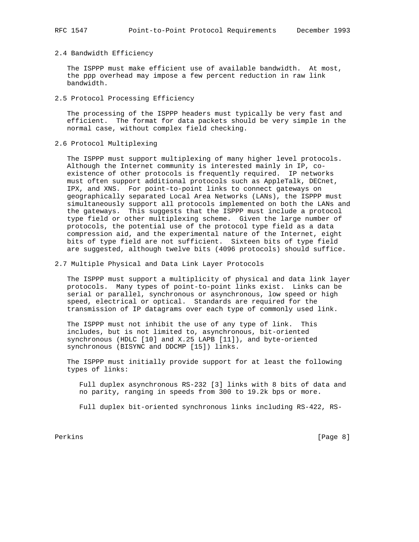# 2.4 Bandwidth Efficiency

 The ISPPP must make efficient use of available bandwidth. At most, the ppp overhead may impose a few percent reduction in raw link bandwidth.

2.5 Protocol Processing Efficiency

 The processing of the ISPPP headers must typically be very fast and efficient. The format for data packets should be very simple in the normal case, without complex field checking.

2.6 Protocol Multiplexing

 The ISPPP must support multiplexing of many higher level protocols. Although the Internet community is interested mainly in IP, co existence of other protocols is frequently required. IP networks must often support additional protocols such as AppleTalk, DECnet, IPX, and XNS. For point-to-point links to connect gateways on geographically separated Local Area Networks (LANs), the ISPPP must simultaneously support all protocols implemented on both the LANs and the gateways. This suggests that the ISPPP must include a protocol type field or other multiplexing scheme. Given the large number of protocols, the potential use of the protocol type field as a data compression aid, and the experimental nature of the Internet, eight bits of type field are not sufficient. Sixteen bits of type field are suggested, although twelve bits (4096 protocols) should suffice.

2.7 Multiple Physical and Data Link Layer Protocols

 The ISPPP must support a multiplicity of physical and data link layer protocols. Many types of point-to-point links exist. Links can be serial or parallel, synchronous or asynchronous, low speed or high speed, electrical or optical. Standards are required for the transmission of IP datagrams over each type of commonly used link.

 The ISPPP must not inhibit the use of any type of link. This includes, but is not limited to, asynchronous, bit-oriented synchronous (HDLC [10] and X.25 LAPB [11]), and byte-oriented synchronous (BISYNC and DDCMP [15]) links.

 The ISPPP must initially provide support for at least the following types of links:

 Full duplex asynchronous RS-232 [3] links with 8 bits of data and no parity, ranging in speeds from 300 to 19.2k bps or more.

Full duplex bit-oriented synchronous links including RS-422, RS-

Perkins [Page 8] [Page 8] [Page 8] [Page 8] [Page 8] [Page 8] [Page 8] [Page 8] [Page 8] [Page 8] [Page 8] [Page 8] [Page 8] [Page 8] [Page 8] [Page 8] [Page 8] [Page 8] [Page 8] [Page 8] [Page 8] [Page 8] [Page 8] [Page 8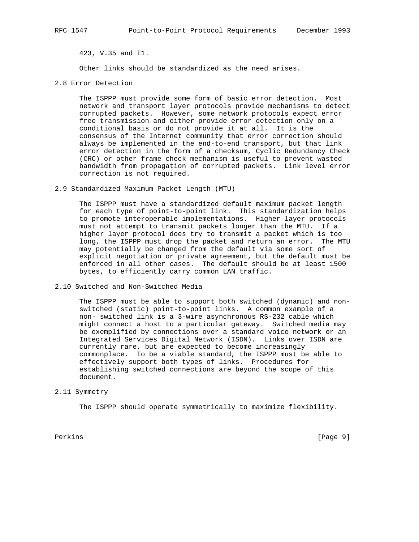423, V.35 and T1.

Other links should be standardized as the need arises.

2.8 Error Detection

 The ISPPP must provide some form of basic error detection. Most network and transport layer protocols provide mechanisms to detect corrupted packets. However, some network protocols expect error free transmission and either provide error detection only on a conditional basis or do not provide it at all. It is the consensus of the Internet community that error correction should always be implemented in the end-to-end transport, but that link error detection in the form of a checksum, Cyclic Redundancy Check (CRC) or other frame check mechanism is useful to prevent wasted bandwidth from propagation of corrupted packets. Link level error correction is not required.

### 2.9 Standardized Maximum Packet Length (MTU)

 The ISPPP must have a standardized default maximum packet length for each type of point-to-point link. This standardization helps to promote interoperable implementations. Higher layer protocols must not attempt to transmit packets longer than the MTU. If a higher layer protocol does try to transmit a packet which is too long, the ISPPP must drop the packet and return an error. The MTU may potentially be changed from the default via some sort of explicit negotiation or private agreement, but the default must be enforced in all other cases. The default should be at least 1500 bytes, to efficiently carry common LAN traffic.

2.10 Switched and Non-Switched Media

 The ISPPP must be able to support both switched (dynamic) and non switched (static) point-to-point links. A common example of a non- switched link is a 3-wire asynchronous RS-232 cable which might connect a host to a particular gateway. Switched media may be exemplified by connections over a standard voice network or an Integrated Services Digital Network (ISDN). Links over ISDN are currently rare, but are expected to become increasingly commonplace. To be a viable standard, the ISPPP must be able to effectively support both types of links. Procedures for establishing switched connections are beyond the scope of this document.

# 2.11 Symmetry

The ISPPP should operate symmetrically to maximize flexibility.

Perkins [Page 9]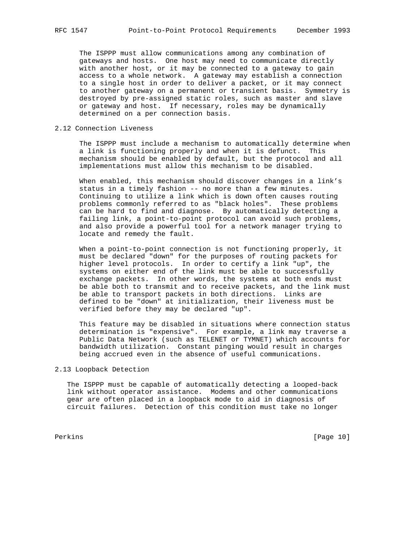The ISPPP must allow communications among any combination of gateways and hosts. One host may need to communicate directly with another host, or it may be connected to a gateway to gain access to a whole network. A gateway may establish a connection to a single host in order to deliver a packet, or it may connect to another gateway on a permanent or transient basis. Symmetry is destroyed by pre-assigned static roles, such as master and slave or gateway and host. If necessary, roles may be dynamically determined on a per connection basis.

# 2.12 Connection Liveness

 The ISPPP must include a mechanism to automatically determine when a link is functioning properly and when it is defunct. This mechanism should be enabled by default, but the protocol and all implementations must allow this mechanism to be disabled.

 When enabled, this mechanism should discover changes in a link's status in a timely fashion -- no more than a few minutes. Continuing to utilize a link which is down often causes routing problems commonly referred to as "black holes". These problems can be hard to find and diagnose. By automatically detecting a failing link, a point-to-point protocol can avoid such problems, and also provide a powerful tool for a network manager trying to locate and remedy the fault.

 When a point-to-point connection is not functioning properly, it must be declared "down" for the purposes of routing packets for higher level protocols. In order to certify a link "up", the systems on either end of the link must be able to successfully exchange packets. In other words, the systems at both ends must be able both to transmit and to receive packets, and the link must be able to transport packets in both directions. Links are defined to be "down" at initialization, their liveness must be verified before they may be declared "up".

 This feature may be disabled in situations where connection status determination is "expensive". For example, a link may traverse a Public Data Network (such as TELENET or TYMNET) which accounts for bandwidth utilization. Constant pinging would result in charges being accrued even in the absence of useful communications.

# 2.13 Loopback Detection

 The ISPPP must be capable of automatically detecting a looped-back link without operator assistance. Modems and other communications gear are often placed in a loopback mode to aid in diagnosis of circuit failures. Detection of this condition must take no longer

Perkins [Page 10]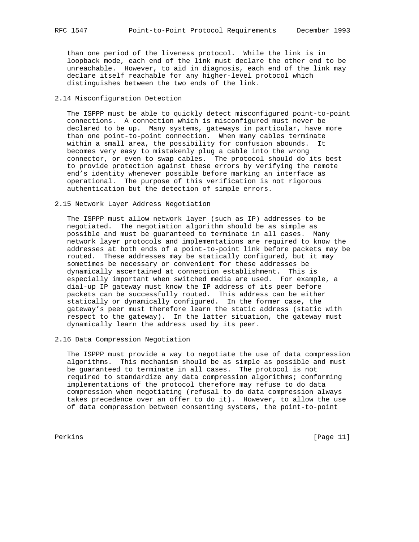than one period of the liveness protocol. While the link is in loopback mode, each end of the link must declare the other end to be unreachable. However, to aid in diagnosis, each end of the link may declare itself reachable for any higher-level protocol which distinguishes between the two ends of the link.

# 2.14 Misconfiguration Detection

 The ISPPP must be able to quickly detect misconfigured point-to-point connections. A connection which is misconfigured must never be declared to be up. Many systems, gateways in particular, have more than one point-to-point connection. When many cables terminate within a small area, the possibility for confusion abounds. It becomes very easy to mistakenly plug a cable into the wrong connector, or even to swap cables. The protocol should do its best to provide protection against these errors by verifying the remote end's identity whenever possible before marking an interface as operational. The purpose of this verification is not rigorous authentication but the detection of simple errors.

# 2.15 Network Layer Address Negotiation

 The ISPPP must allow network layer (such as IP) addresses to be negotiated. The negotiation algorithm should be as simple as possible and must be guaranteed to terminate in all cases. Many network layer protocols and implementations are required to know the addresses at both ends of a point-to-point link before packets may be routed. These addresses may be statically configured, but it may sometimes be necessary or convenient for these addresses be dynamically ascertained at connection establishment. This is especially important when switched media are used. For example, a dial-up IP gateway must know the IP address of its peer before packets can be successfully routed. This address can be either statically or dynamically configured. In the former case, the gateway's peer must therefore learn the static address (static with respect to the gateway). In the latter situation, the gateway must dynamically learn the address used by its peer.

# 2.16 Data Compression Negotiation

 The ISPPP must provide a way to negotiate the use of data compression algorithms. This mechanism should be as simple as possible and must be guaranteed to terminate in all cases. The protocol is not required to standardize any data compression algorithms; conforming implementations of the protocol therefore may refuse to do data compression when negotiating (refusal to do data compression always takes precedence over an offer to do it). However, to allow the use of data compression between consenting systems, the point-to-point

Perkins [Page 11]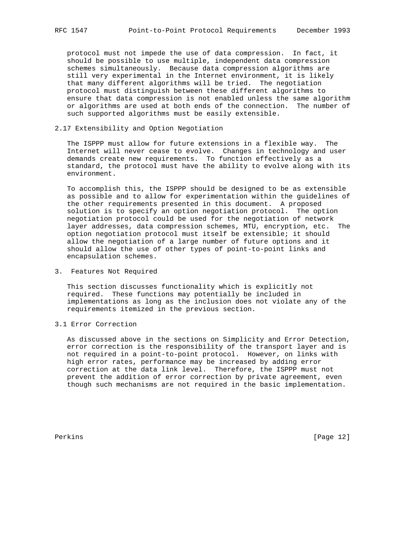protocol must not impede the use of data compression. In fact, it should be possible to use multiple, independent data compression schemes simultaneously. Because data compression algorithms are still very experimental in the Internet environment, it is likely that many different algorithms will be tried. The negotiation protocol must distinguish between these different algorithms to ensure that data compression is not enabled unless the same algorithm or algorithms are used at both ends of the connection. The number of such supported algorithms must be easily extensible.

# 2.17 Extensibility and Option Negotiation

 The ISPPP must allow for future extensions in a flexible way. The Internet will never cease to evolve. Changes in technology and user demands create new requirements. To function effectively as a standard, the protocol must have the ability to evolve along with its environment.

 To accomplish this, the ISPPP should be designed to be as extensible as possible and to allow for experimentation within the guidelines of the other requirements presented in this document. A proposed solution is to specify an option negotiation protocol. The option negotiation protocol could be used for the negotiation of network layer addresses, data compression schemes, MTU, encryption, etc. The option negotiation protocol must itself be extensible; it should allow the negotiation of a large number of future options and it should allow the use of other types of point-to-point links and encapsulation schemes.

# 3. Features Not Required

 This section discusses functionality which is explicitly not required. These functions may potentially be included in implementations as long as the inclusion does not violate any of the requirements itemized in the previous section.

# 3.1 Error Correction

 As discussed above in the sections on Simplicity and Error Detection, error correction is the responsibility of the transport layer and is not required in a point-to-point protocol. However, on links with high error rates, performance may be increased by adding error correction at the data link level. Therefore, the ISPPP must not prevent the addition of error correction by private agreement, even though such mechanisms are not required in the basic implementation.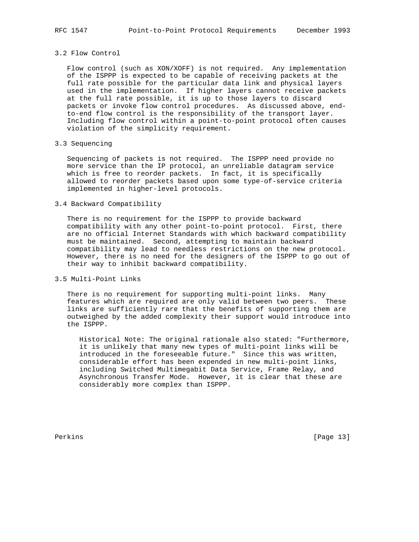# 3.2 Flow Control

 Flow control (such as XON/XOFF) is not required. Any implementation of the ISPPP is expected to be capable of receiving packets at the full rate possible for the particular data link and physical layers used in the implementation. If higher layers cannot receive packets at the full rate possible, it is up to those layers to discard packets or invoke flow control procedures. As discussed above, end to-end flow control is the responsibility of the transport layer. Including flow control within a point-to-point protocol often causes violation of the simplicity requirement.

#### 3.3 Sequencing

 Sequencing of packets is not required. The ISPPP need provide no more service than the IP protocol, an unreliable datagram service which is free to reorder packets. In fact, it is specifically allowed to reorder packets based upon some type-of-service criteria implemented in higher-level protocols.

### 3.4 Backward Compatibility

 There is no requirement for the ISPPP to provide backward compatibility with any other point-to-point protocol. First, there are no official Internet Standards with which backward compatibility must be maintained. Second, attempting to maintain backward compatibility may lead to needless restrictions on the new protocol. However, there is no need for the designers of the ISPPP to go out of their way to inhibit backward compatibility.

# 3.5 Multi-Point Links

 There is no requirement for supporting multi-point links. Many features which are required are only valid between two peers. These links are sufficiently rare that the benefits of supporting them are outweighed by the added complexity their support would introduce into the ISPPP.

 Historical Note: The original rationale also stated: "Furthermore, it is unlikely that many new types of multi-point links will be introduced in the foreseeable future." Since this was written, considerable effort has been expended in new multi-point links, including Switched Multimegabit Data Service, Frame Relay, and Asynchronous Transfer Mode. However, it is clear that these are considerably more complex than ISPPP.

Perkins [Page 13]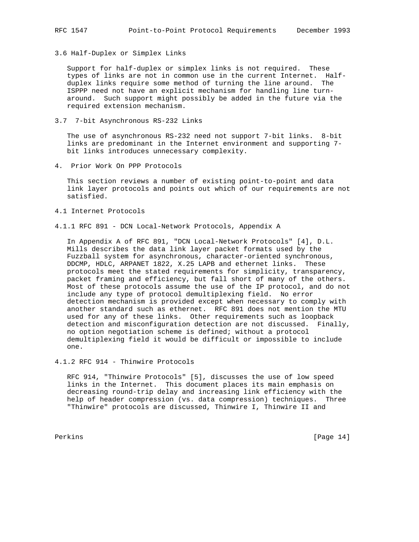3.6 Half-Duplex or Simplex Links

 Support for half-duplex or simplex links is not required. These types of links are not in common use in the current Internet. Half duplex links require some method of turning the line around. The ISPPP need not have an explicit mechanism for handling line turn around. Such support might possibly be added in the future via the required extension mechanism.

3.7 7-bit Asynchronous RS-232 Links

 The use of asynchronous RS-232 need not support 7-bit links. 8-bit links are predominant in the Internet environment and supporting 7 bit links introduces unnecessary complexity.

4. Prior Work On PPP Protocols

 This section reviews a number of existing point-to-point and data link layer protocols and points out which of our requirements are not satisfied.

- 4.1 Internet Protocols
- 4.1.1 RFC 891 DCN Local-Network Protocols, Appendix A

 In Appendix A of RFC 891, "DCN Local-Network Protocols" [4], D.L. Mills describes the data link layer packet formats used by the Fuzzball system for asynchronous, character-oriented synchronous, DDCMP, HDLC, ARPANET 1822, X.25 LAPB and ethernet links. These protocols meet the stated requirements for simplicity, transparency, packet framing and efficiency, but fall short of many of the others. Most of these protocols assume the use of the IP protocol, and do not include any type of protocol demultiplexing field. No error detection mechanism is provided except when necessary to comply with another standard such as ethernet. RFC 891 does not mention the MTU used for any of these links. Other requirements such as loopback detection and misconfiguration detection are not discussed. Finally, no option negotiation scheme is defined; without a protocol demultiplexing field it would be difficult or impossible to include one.

4.1.2 RFC 914 - Thinwire Protocols

 RFC 914, "Thinwire Protocols" [5], discusses the use of low speed links in the Internet. This document places its main emphasis on decreasing round-trip delay and increasing link efficiency with the help of header compression (vs. data compression) techniques. Three "Thinwire" protocols are discussed, Thinwire I, Thinwire II and

Perkins [Page 14]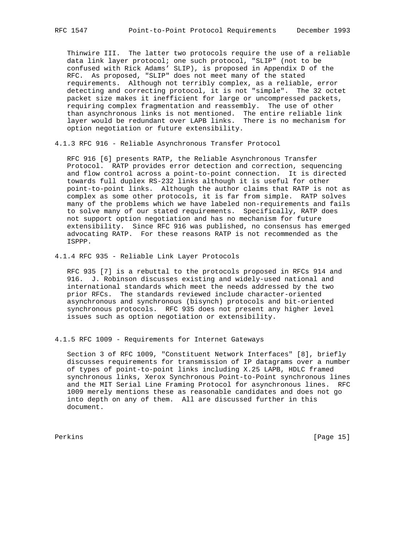Thinwire III. The latter two protocols require the use of a reliable data link layer protocol; one such protocol, "SLIP" (not to be confused with Rick Adams' SLIP), is proposed in Appendix D of the RFC. As proposed, "SLIP" does not meet many of the stated requirements. Although not terribly complex, as a reliable, error detecting and correcting protocol, it is not "simple". The 32 octet packet size makes it inefficient for large or uncompressed packets, requiring complex fragmentation and reassembly. The use of other than asynchronous links is not mentioned. The entire reliable link layer would be redundant over LAPB links. There is no mechanism for option negotiation or future extensibility.

4.1.3 RFC 916 - Reliable Asynchronous Transfer Protocol

 RFC 916 [6] presents RATP, the Reliable Asynchronous Transfer Protocol. RATP provides error detection and correction, sequencing and flow control across a point-to-point connection. It is directed towards full duplex RS-232 links although it is useful for other point-to-point links. Although the author claims that RATP is not as complex as some other protocols, it is far from simple. RATP solves many of the problems which we have labeled non-requirements and fails to solve many of our stated requirements. Specifically, RATP does not support option negotiation and has no mechanism for future extensibility. Since RFC 916 was published, no consensus has emerged advocating RATP. For these reasons RATP is not recommended as the ISPPP.

4.1.4 RFC 935 - Reliable Link Layer Protocols

 RFC 935 [7] is a rebuttal to the protocols proposed in RFCs 914 and 916. J. Robinson discusses existing and widely-used national and international standards which meet the needs addressed by the two prior RFCs. The standards reviewed include character-oriented asynchronous and synchronous (bisynch) protocols and bit-oriented synchronous protocols. RFC 935 does not present any higher level issues such as option negotiation or extensibility.

4.1.5 RFC 1009 - Requirements for Internet Gateways

 Section 3 of RFC 1009, "Constituent Network Interfaces" [8], briefly discusses requirements for transmission of IP datagrams over a number of types of point-to-point links including X.25 LAPB, HDLC framed synchronous links, Xerox Synchronous Point-to-Point synchronous lines and the MIT Serial Line Framing Protocol for asynchronous lines. RFC 1009 merely mentions these as reasonable candidates and does not go into depth on any of them. All are discussed further in this document.

Perkins [Page 15]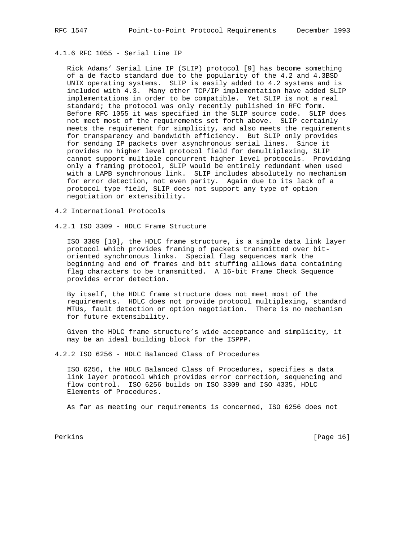# 4.1.6 RFC 1055 - Serial Line IP

 Rick Adams' Serial Line IP (SLIP) protocol [9] has become something of a de facto standard due to the popularity of the 4.2 and 4.3BSD UNIX operating systems. SLIP is easily added to 4.2 systems and is included with 4.3. Many other TCP/IP implementation have added SLIP implementations in order to be compatible. Yet SLIP is not a real standard; the protocol was only recently published in RFC form. Before RFC 1055 it was specified in the SLIP source code. SLIP does not meet most of the requirements set forth above. SLIP certainly meets the requirement for simplicity, and also meets the requirements for transparency and bandwidth efficiency. But SLIP only provides for sending IP packets over asynchronous serial lines. Since it provides no higher level protocol field for demultiplexing, SLIP cannot support multiple concurrent higher level protocols. Providing only a framing protocol, SLIP would be entirely redundant when used with a LAPB synchronous link. SLIP includes absolutely no mechanism for error detection, not even parity. Again due to its lack of a protocol type field, SLIP does not support any type of option negotiation or extensibility.

4.2 International Protocols

4.2.1 ISO 3309 - HDLC Frame Structure

 ISO 3309 [10], the HDLC frame structure, is a simple data link layer protocol which provides framing of packets transmitted over bit oriented synchronous links. Special flag sequences mark the beginning and end of frames and bit stuffing allows data containing flag characters to be transmitted. A 16-bit Frame Check Sequence provides error detection.

 By itself, the HDLC frame structure does not meet most of the requirements. HDLC does not provide protocol multiplexing, standard MTUs, fault detection or option negotiation. There is no mechanism for future extensibility.

 Given the HDLC frame structure's wide acceptance and simplicity, it may be an ideal building block for the ISPPP.

4.2.2 ISO 6256 - HDLC Balanced Class of Procedures

 ISO 6256, the HDLC Balanced Class of Procedures, specifies a data link layer protocol which provides error correction, sequencing and flow control. ISO 6256 builds on ISO 3309 and ISO 4335, HDLC Elements of Procedures.

As far as meeting our requirements is concerned, ISO 6256 does not

Perkins [Page 16]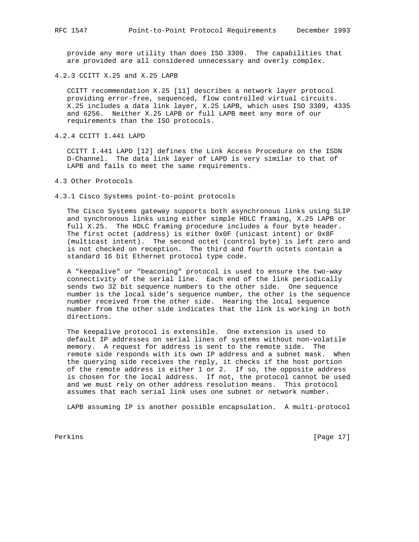provide any more utility than does ISO 3309. The capabilities that are provided are all considered unnecessary and overly complex.

4.2.3 CCITT X.25 and X.25 LAPB

 CCITT recommendation X.25 [11] describes a network layer protocol providing error-free, sequenced, flow controlled virtual circuits. X.25 includes a data link layer, X.25 LAPB, which uses ISO 3309, 4335 and 6256. Neither X.25 LAPB or full LAPB meet any more of our requirements than the ISO protocols.

4.2.4 CCITT I.441 LAPD

 CCITT I.441 LAPD [12] defines the Link Access Procedure on the ISDN D-Channel. The data link layer of LAPD is very similar to that of LAPB and fails to meet the same requirements.

4.3 Other Protocols

4.3.1 Cisco Systems point-to-point protocols

 The Cisco Systems gateway supports both asynchronous links using SLIP and synchronous links using either simple HDLC framing, X.25 LAPB or full X.25. The HDLC framing procedure includes a four byte header. The first octet (address) is either 0x0F (unicast intent) or 0x8F (multicast intent). The second octet (control byte) is left zero and is not checked on reception. The third and fourth octets contain a standard 16 bit Ethernet protocol type code.

 A "keepalive" or "beaconing" protocol is used to ensure the two-way connectivity of the serial line. Each end of the link periodically sends two 32 bit sequence numbers to the other side. One sequence number is the local side's sequence number, the other is the sequence number received from the other side. Hearing the local sequence number from the other side indicates that the link is working in both directions.

 The keepalive protocol is extensible. One extension is used to default IP addresses on serial lines of systems without non-volatile memory. A request for address is sent to the remote side. The remote side responds with its own IP address and a subnet mask. When the querying side receives the reply, it checks if the host portion of the remote address is either 1 or 2. If so, the opposite address is chosen for the local address. If not, the protocol cannot be used and we must rely on other address resolution means. This protocol assumes that each serial link uses one subnet or network number.

LAPB assuming IP is another possible encapsulation. A multi-protocol

Perkins [Page 17]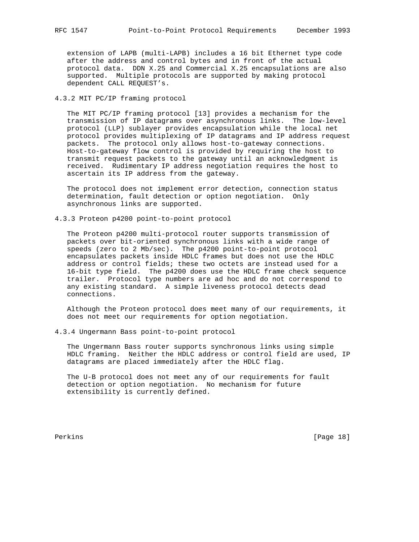extension of LAPB (multi-LAPB) includes a 16 bit Ethernet type code after the address and control bytes and in front of the actual protocol data. DDN X.25 and Commercial X.25 encapsulations are also supported. Multiple protocols are supported by making protocol dependent CALL REQUEST's.

# 4.3.2 MIT PC/IP framing protocol

 The MIT PC/IP framing protocol [13] provides a mechanism for the transmission of IP datagrams over asynchronous links. The low-level protocol (LLP) sublayer provides encapsulation while the local net protocol provides multiplexing of IP datagrams and IP address request packets. The protocol only allows host-to-gateway connections. Host-to-gateway flow control is provided by requiring the host to transmit request packets to the gateway until an acknowledgment is received. Rudimentary IP address negotiation requires the host to ascertain its IP address from the gateway.

 The protocol does not implement error detection, connection status determination, fault detection or option negotiation. Only asynchronous links are supported.

4.3.3 Proteon p4200 point-to-point protocol

 The Proteon p4200 multi-protocol router supports transmission of packets over bit-oriented synchronous links with a wide range of speeds (zero to 2 Mb/sec). The p4200 point-to-point protocol encapsulates packets inside HDLC frames but does not use the HDLC address or control fields; these two octets are instead used for a 16-bit type field. The p4200 does use the HDLC frame check sequence trailer. Protocol type numbers are ad hoc and do not correspond to any existing standard. A simple liveness protocol detects dead connections.

 Although the Proteon protocol does meet many of our requirements, it does not meet our requirements for option negotiation.

4.3.4 Ungermann Bass point-to-point protocol

 The Ungermann Bass router supports synchronous links using simple HDLC framing. Neither the HDLC address or control field are used, IP datagrams are placed immediately after the HDLC flag.

 The U-B protocol does not meet any of our requirements for fault detection or option negotiation. No mechanism for future extensibility is currently defined.

Perkins [Page 18]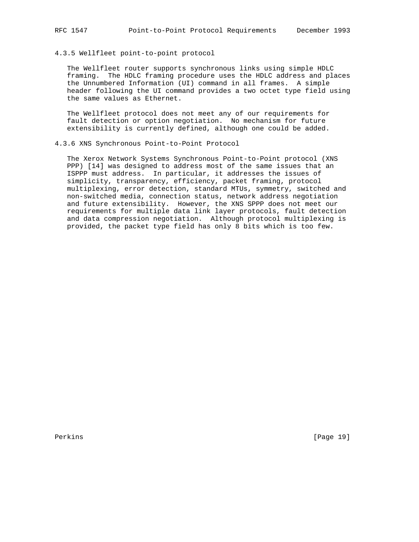### 4.3.5 Wellfleet point-to-point protocol

 The Wellfleet router supports synchronous links using simple HDLC framing. The HDLC framing procedure uses the HDLC address and places the Unnumbered Information (UI) command in all frames. A simple header following the UI command provides a two octet type field using the same values as Ethernet.

 The Wellfleet protocol does not meet any of our requirements for fault detection or option negotiation. No mechanism for future extensibility is currently defined, although one could be added.

### 4.3.6 XNS Synchronous Point-to-Point Protocol

 The Xerox Network Systems Synchronous Point-to-Point protocol (XNS PPP) [14] was designed to address most of the same issues that an ISPPP must address. In particular, it addresses the issues of simplicity, transparency, efficiency, packet framing, protocol multiplexing, error detection, standard MTUs, symmetry, switched and non-switched media, connection status, network address negotiation and future extensibility. However, the XNS SPPP does not meet our requirements for multiple data link layer protocols, fault detection and data compression negotiation. Although protocol multiplexing is provided, the packet type field has only 8 bits which is too few.

Perkins [Page 19]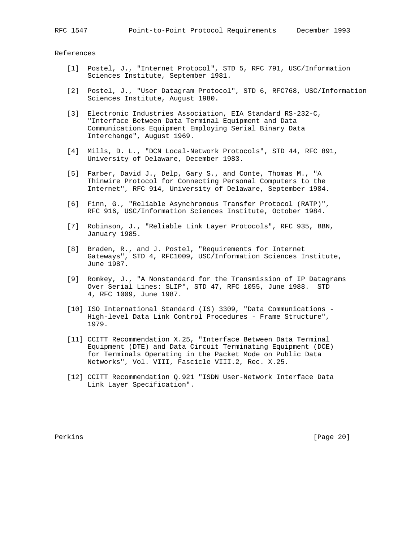References

- [1] Postel, J., "Internet Protocol", STD 5, RFC 791, USC/Information Sciences Institute, September 1981.
- [2] Postel, J., "User Datagram Protocol", STD 6, RFC768, USC/Information Sciences Institute, August 1980.
- [3] Electronic Industries Association, EIA Standard RS-232-C, "Interface Between Data Terminal Equipment and Data Communications Equipment Employing Serial Binary Data Interchange", August 1969.
- [4] Mills, D. L., "DCN Local-Network Protocols", STD 44, RFC 891, University of Delaware, December 1983.
- [5] Farber, David J., Delp, Gary S., and Conte, Thomas M., "A Thinwire Protocol for Connecting Personal Computers to the Internet", RFC 914, University of Delaware, September 1984.
- [6] Finn, G., "Reliable Asynchronous Transfer Protocol (RATP)", RFC 916, USC/Information Sciences Institute, October 1984.
- [7] Robinson, J., "Reliable Link Layer Protocols", RFC 935, BBN, January 1985.
- [8] Braden, R., and J. Postel, "Requirements for Internet Gateways", STD 4, RFC1009, USC/Information Sciences Institute, June 1987.
- [9] Romkey, J., "A Nonstandard for the Transmission of IP Datagrams Over Serial Lines: SLIP", STD 47, RFC 1055, June 1988. STD 4, RFC 1009, June 1987.
- [10] ISO International Standard (IS) 3309, "Data Communications High-level Data Link Control Procedures - Frame Structure", 1979.
- [11] CCITT Recommendation X.25, "Interface Between Data Terminal Equipment (DTE) and Data Circuit Terminating Equipment (DCE) for Terminals Operating in the Packet Mode on Public Data Networks", Vol. VIII, Fascicle VIII.2, Rec. X.25.
- [12] CCITT Recommendation Q.921 "ISDN User-Network Interface Data Link Layer Specification".

Perkins [Page 20]